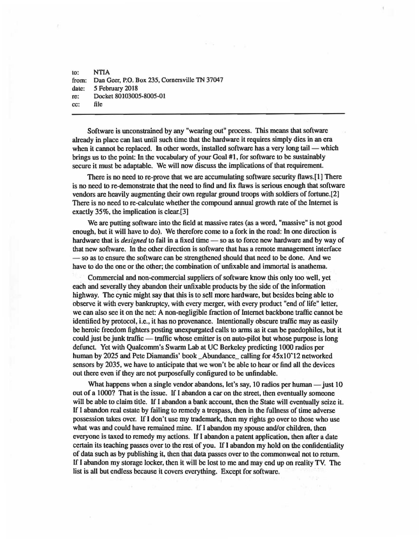to: NTIA from: Dan Geer, P.O. Box 235, Cornersville TN 37047 date: *5* February 2018 re: Docket 80103005-8005-0l cc: file

Software is unconstrained by any "wearing out" process. This means that software already in place can last until such time that the hardware it requires simply dies in an era when it cannot be replaced. In other words, installed software has a very long tail  $-$  which brings us to the point: In the vocabulary of your Goal #1, for software to be sustainably secure it must be adaptable. We will now discuss the implications of that requirement.

There is no need to re-prove that we are accumulating software security flaws.[1] There is no need to re-demonstrate that the need to find and fix flaws is serious enough that software vendors arc heavily augmenting their own regular ground troops with soldiers of fortune.[2] There is no need to re-calculate whether the compound annual growth rate of the Internet is exactly 35%, the implication is clear.[3]

We are putting software into the field at massive rates (as a word, "massive" is not good enough, but it will have to do). We therefore come to a fork in the road: In one direction is hardware that is *designed* to fail in a fixed time - so as to force new hardware and by way of that new software. In the other direction is software that has a remote management interface  $-$  so as to ensure the software can be strengthened should that need to be done. And we have to do the one or the other; the combination of unfixable and immortal is anathema.

Commercial and non-commercial suppliers of software know this only too well, yet each and severally they abandon their unfixable products by the side of the information highway. The cynic might say that this is to sell more hardware, but besides being able to observe it with every bankruptcy, with every merger, with every product "end of life" letter, we can also sec it on the net: A non-negligible fraction of Internet backbone traffic cannot be identified by protocol, i.e., it has no provenance. Intentionally obscure traffic may as easily be heroic freedom fighters posting unexpurgated calls to arms as it can be paedophiles, but it could just be junk traffic - traffic whose emitter is on auto-pilot but whose purpose is long defunct. Yet with Qualcomm's Swarm Lab at UC Berkeley predicting 1000 radios per human by 2025 and Pete Diamandis' book \_Abundance\_ calling for  $45x10^212$  networked sensors by 2035, we have to anticipate that we won't be able to hear or find all the devices out there even if they are not purposefully configured to be unfindable.

What happens when a single vendor abandons, let's say, 10 radios per human  $-$  just 10 out of a 1000? That is the issue. If I abandon a car on the street, then eventually someone will be able to claim title. If I abandon a bank account, then the State will eventually seize it. If I abandon real estate by failing to remedy a trespass, then in the fullness of time adverse possession takes over. If I don't use my trademark, then my rights go over to those who use what was and could have remained mine. If I abandon my spouse and/or children, then everyone is taxed to remedy my actions. If I abandon a patent application, then after a date certain its teaching passes over to the rest of you. If I abandon my hold on the confidentiality of data such as by publishing it, then that data passes over to the commonweal not to return. If I abandon my storage locker, then it will be lost to me and may end up on reality TV. The list is all but endless because it covers everything. Except for software.